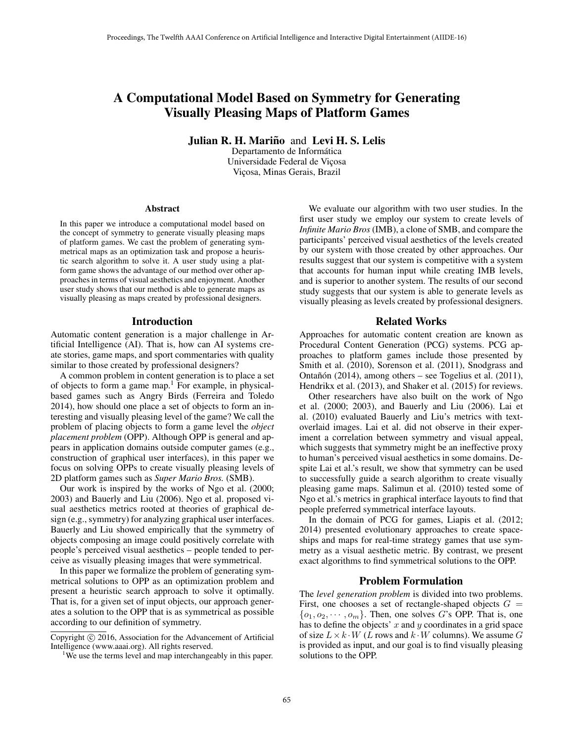# A Computational Model Based on Symmetry for Generating Visually Pleasing Maps of Platform Games

Julian R. H. Mariño and Levi H. S. Lelis

Departamento de Informática Universidade Federal de Viçosa Viçosa, Minas Gerais, Brazil

#### Abstract

In this paper we introduce a computational model based on the concept of symmetry to generate visually pleasing maps of platform games. We cast the problem of generating symmetrical maps as an optimization task and propose a heuristic search algorithm to solve it. A user study using a platform game shows the advantage of our method over other approaches in terms of visual aesthetics and enjoyment. Another user study shows that our method is able to generate maps as visually pleasing as maps created by professional designers.

#### Introduction

Automatic content generation is a major challenge in Artificial Intelligence (AI). That is, how can AI systems create stories, game maps, and sport commentaries with quality similar to those created by professional designers?

A common problem in content generation is to place a set of objects to form a game map.<sup>1</sup> For example, in physicalbased games such as Angry Birds (Ferreira and Toledo 2014), how should one place a set of objects to form an interesting and visually pleasing level of the game? We call the problem of placing objects to form a game level the *object placement problem* (OPP). Although OPP is general and appears in application domains outside computer games (e.g., construction of graphical user interfaces), in this paper we focus on solving OPPs to create visually pleasing levels of 2D platform games such as *Super Mario Bros.* (SMB).

Our work is inspired by the works of Ngo et al. (2000; 2003) and Bauerly and Liu (2006). Ngo et al. proposed visual aesthetics metrics rooted at theories of graphical design (e.g., symmetry) for analyzing graphical user interfaces. Bauerly and Liu showed empirically that the symmetry of objects composing an image could positively correlate with people's perceived visual aesthetics – people tended to perceive as visually pleasing images that were symmetrical.

In this paper we formalize the problem of generating symmetrical solutions to OPP as an optimization problem and present a heuristic search approach to solve it optimally. That is, for a given set of input objects, our approach generates a solution to the OPP that is as symmetrical as possible according to our definition of symmetry.

We evaluate our algorithm with two user studies. In the first user study we employ our system to create levels of *Infinite Mario Bros* (IMB), a clone of SMB, and compare the participants' perceived visual aesthetics of the levels created by our system with those created by other approaches. Our results suggest that our system is competitive with a system that accounts for human input while creating IMB levels, and is superior to another system. The results of our second study suggests that our system is able to generate levels as visually pleasing as levels created by professional designers.

## Related Works

Approaches for automatic content creation are known as Procedural Content Generation (PCG) systems. PCG approaches to platform games include those presented by Smith et al. (2010), Sorenson et al. (2011), Snodgrass and Ontañón (2014), among others – see Togelius et al. (2011), Hendrikx et al. (2013), and Shaker et al. (2015) for reviews.

Other researchers have also built on the work of Ngo et al. (2000; 2003), and Bauerly and Liu (2006). Lai et al. (2010) evaluated Bauerly and Liu's metrics with textoverlaid images. Lai et al. did not observe in their experiment a correlation between symmetry and visual appeal, which suggests that symmetry might be an ineffective proxy to human's perceived visual aesthetics in some domains. Despite Lai et al.'s result, we show that symmetry can be used to successfully guide a search algorithm to create visually pleasing game maps. Salimun et al. (2010) tested some of Ngo et al.'s metrics in graphical interface layouts to find that people preferred symmetrical interface layouts.

In the domain of PCG for games, Liapis et al. (2012; 2014) presented evolutionary approaches to create spaceships and maps for real-time strategy games that use symmetry as a visual aesthetic metric. By contrast, we present exact algorithms to find symmetrical solutions to the OPP.

#### Problem Formulation

The *level generation problem* is divided into two problems. First, one chooses a set of rectangle-shaped objects  $G =$  $\{o_1, o_2, \cdots, o_m\}$ . Then, one solves G's OPP. That is, one has to define the objects'  $x$  and  $y$  coordinates in a grid space of size  $L \times k \cdot W$  (L rows and  $k \cdot W$  columns). We assume G is provided as input, and our goal is to find visually pleasing solutions to the OPP.

Copyright (c) 2016, Association for the Advancement of Artificial Intelligence (www.aaai.org). All rights reserved.

<sup>&</sup>lt;sup>1</sup>We use the terms level and map interchangeably in this paper.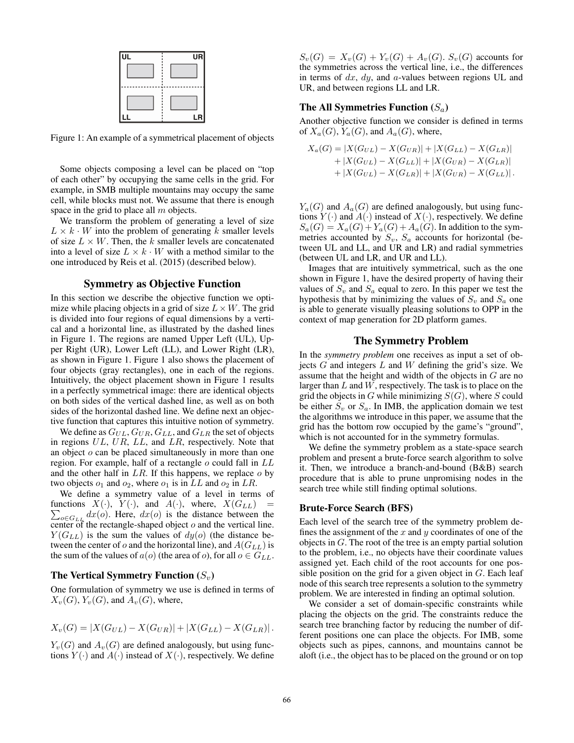

Figure 1: An example of a symmetrical placement of objects

Some objects composing a level can be placed on "top of each other" by occupying the same cells in the grid. For example, in SMB multiple mountains may occupy the same cell, while blocks must not. We assume that there is enough space in the grid to place all  $m$  objects.

We transform the problem of generating a level of size  $L \times k \cdot W$  into the problem of generating k smaller levels of size  $L \times W$ . Then, the k smaller levels are concatenated into a level of size  $L \times k \cdot W$  with a method similar to the one introduced by Reis et al. (2015) (described below).

# Symmetry as Objective Function

In this section we describe the objective function we optimize while placing objects in a grid of size  $L \times W$ . The grid is divided into four regions of equal dimensions by a vertical and a horizontal line, as illustrated by the dashed lines in Figure 1. The regions are named Upper Left (UL), Upper Right (UR), Lower Left (LL), and Lower Right (LR), as shown in Figure 1. Figure 1 also shows the placement of four objects (gray rectangles), one in each of the regions. Intuitively, the object placement shown in Figure 1 results in a perfectly symmetrical image: there are identical objects on both sides of the vertical dashed line, as well as on both sides of the horizontal dashed line. We define next an objective function that captures this intuitive notion of symmetry.

We define as  $G_{UL}$ ,  $G_{UR}$ ,  $G_{LL}$ , and  $G_{LR}$  the set of objects in regions UL, UR, LL, and LR, respectively. Note that an object o can be placed simultaneously in more than one region. For example, half of a rectangle  $o$  could fall in  $LL$ and the other half in  $LR$ . If this happens, we replace  $o$  by two objects  $o_1$  and  $o_2$ , where  $o_1$  is in LL and  $o_2$  in LR.

We define a symmetry value of a level in terms of  $\sum_{o \in G_{LL}} dx(o)$ . Here,  $dx(o)$  is the distance between the functions  $X(\cdot)$ ,  $Y(\cdot)$ , and  $A(\cdot)$ , where,  $X(G_{LL})$ center of the rectangle-shaped object  $o$  and the vertical line.  $Y(G_{LL})$  is the sum the values of  $dy(o)$  (the distance between the center of o and the horizontal line), and  $A(G_{LL})$  is the sum of the values of  $a(o)$  (the area of o), for all  $o \in G_{LL}$ .

#### The Vertical Symmetry Function  $(S_v)$

One formulation of symmetry we use is defined in terms of  $X_v(G)$ ,  $Y_v(G)$ , and  $A_v(G)$ , where,

$$
X_v(G) = |X(G_{UL}) - X(G_{UR})| + |X(G_{LL}) - X(G_{LR})|.
$$

 $Y_v(G)$  and  $A_v(G)$  are defined analogously, but using functions  $Y(\cdot)$  and  $A(\cdot)$  instead of  $X(\cdot)$ , respectively. We define  $S_v(G) = X_v(G) + Y_v(G) + A_v(G)$ .  $S_v(G)$  accounts for the symmetries across the vertical line, i.e., the differences in terms of  $dx$ ,  $dy$ , and  $a$ -values between regions UL and UR, and between regions LL and LR.

# The All Symmetries Function  $(S_a)$

Another objective function we consider is defined in terms of  $X_a(G)$ ,  $Y_a(G)$ , and  $A_a(G)$ , where,

$$
X_a(G) = |X(G_{UL}) - X(G_{UR})| + |X(G_{LL}) - X(G_{LR})|
$$
  
+ |X(G\_{UL}) - X(G\_{LL})| + |X(G\_{UR}) - X(G\_{LR})|   
+ |X(G\_{UL}) - X(G\_{LR})| + |X(G\_{UR}) - X(G\_{LL})|.

 $Y_a(G)$  and  $A_a(G)$  are defined analogously, but using functions  $Y(\cdot)$  and  $A(\cdot)$  instead of  $X(\cdot)$ , respectively. We define  $S_a(G) = X_a(G) + Y_a(G) + A_a(G)$ . In addition to the symmetries accounted by  $S_v$ ,  $S_a$  accounts for horizontal (between UL and LL, and UR and LR) and radial symmetries (between UL and LR, and UR and LL).

Images that are intuitively symmetrical, such as the one shown in Figure 1, have the desired property of having their values of  $S_v$  and  $S_a$  equal to zero. In this paper we test the hypothesis that by minimizing the values of  $S_v$  and  $S_a$  one is able to generate visually pleasing solutions to OPP in the context of map generation for 2D platform games.

## The Symmetry Problem

In the *symmetry problem* one receives as input a set of objects  $G$  and integers  $L$  and  $W$  defining the grid's size. We assume that the height and width of the objects in G are no larger than  $L$  and  $W$ , respectively. The task is to place on the grid the objects in  $G$  while minimizing  $S(G)$ , where S could be either  $S_v$  or  $S_a$ . In IMB, the application domain we test the algorithms we introduce in this paper, we assume that the grid has the bottom row occupied by the game's "ground", which is not accounted for in the symmetry formulas.

We define the symmetry problem as a state-space search problem and present a brute-force search algorithm to solve it. Then, we introduce a branch-and-bound (B&B) search procedure that is able to prune unpromising nodes in the search tree while still finding optimal solutions.

#### Brute-Force Search (BFS)

Each level of the search tree of the symmetry problem defines the assignment of the  $x$  and  $y$  coordinates of one of the objects in  $G$ . The root of the tree is an empty partial solution to the problem, i.e., no objects have their coordinate values assigned yet. Each child of the root accounts for one possible position on the grid for a given object in  $G$ . Each leaf node of this search tree represents a solution to the symmetry problem. We are interested in finding an optimal solution.

We consider a set of domain-specific constraints while placing the objects on the grid. The constraints reduce the search tree branching factor by reducing the number of different positions one can place the objects. For IMB, some objects such as pipes, cannons, and mountains cannot be aloft (i.e., the object has to be placed on the ground or on top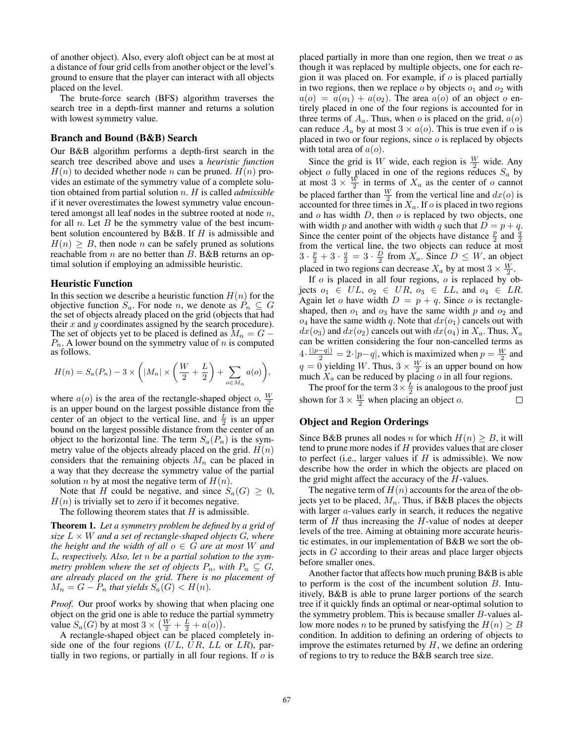of another object). Also, every aloft object can be at most at a distance of four grid cells from another object or the level's ground to ensure that the player can interact with all objects placed on the level.

The brute-force search (BFS) algorithm traverses the search tree in a depth-first manner and returns a solution with lowest symmetry value.

## Branch and Bound (B&B) Search

Our B&B algorithm performs a depth-first search in the search tree described above and uses a *heuristic function*  $H(n)$  to decided whether node n can be pruned.  $H(n)$  provides an estimate of the symmetry value of a complete solution obtained from partial solution n. H is called *admissible* if it never overestimates the lowest symmetry value encountered amongst all leaf nodes in the subtree rooted at node  $n$ , for all  $n$ . Let  $B$  be the symmetry value of the best incumbent solution encountered by B&B. If  $H$  is admissible and  $H(n) \geq B$ , then node *n* can be safely pruned as solutions reachable from  $n$  are no better than  $B$ . B&B returns an optimal solution if employing an admissible heuristic.

#### Heuristic Function

In this section we describe a heuristic function  $H(n)$  for the objective function  $S_a$ . For node n, we denote as  $P_n \subseteq G$ the set of objects already placed on the grid (objects that had their  $x$  and  $y$  coordinates assigned by the search procedure). The set of objects yet to be placed is defined as  $M_n = G P_n$ . A lower bound on the symmetry value of n is computed as follows.

$$
H(n) = S_a(P_n) - 3 \times \left( |M_n| \times \left( \frac{W}{2} + \frac{L}{2} \right) + \sum_{o \in M_n} a(o) \right),
$$

where  $a(o)$  is the area of the rectangle-shaped object o,  $\frac{W}{2}$ is an upper bound on the largest possible distance from the center of an object to the vertical line, and  $\frac{L}{2}$  is an upper bound on the largest possible distance from the center of an object to the horizontal line. The term  $S_a(P_n)$  is the symmetry value of the objects already placed on the grid.  $H(n)$ considers that the remaining objects  $M_n$  can be placed in a way that they decrease the symmetry value of the partial solution *n* by at most the negative term of  $H(n)$ .

Note that H could be negative, and since  $S_a(G) \geq 0$ ,  $H(n)$  is trivially set to zero if it becomes negative.

The following theorem states that  $H$  is admissible.

Theorem 1. *Let a symmetry problem be defined by a grid of size*  $L \times W$  *and a set of rectangle-shaped objects G, where the height and the width of all*  $o \in G$  *are at most* W *and* L*, respectively. Also, let* n *be a partial solution to the symmetry problem where the set of objects*  $P_n$ *, with*  $P_n \subseteq G$ *, are already placed on the grid. There is no placement of*  $M_n = G - P_n$  that yields  $S_a(G) < H(n)$ .

*Proof.* Our proof works by showing that when placing one object on the grid one is able to reduce the partial symmetry value  $S_a(G)$  by at most  $3 \times (\frac{W}{2} + \frac{L}{2} + a(o)).$ 

A rectangle-shaped object can be placed completely inside one of the four regions  $(UL, UR, LL$  or  $LR$ ), partially in two regions, or partially in all four regions. If  $\sigma$  is placed partially in more than one region, then we treat  $o$  as though it was replaced by multiple objects, one for each region it was placed on. For example, if  $o$  is placed partially in two regions, then we replace  $o$  by objects  $o_1$  and  $o_2$  with  $a(o) = a(o_1) + a(o_2)$ . The area  $a(o)$  of an object o entirely placed in one of the four regions is accounted for in three terms of  $A_a$ . Thus, when o is placed on the grid,  $a(o)$ can reduce  $A_a$  by at most  $3 \times a(o)$ . This is true even if o is placed in two or four regions, since  $o$  is replaced by objects with total area of  $a(o)$ .

Since the grid is W wide, each region is  $\frac{W}{2}$  wide. Any object o fully placed in one of the regions reduces  $S_a$  by at most  $3 \times \frac{W}{2}$  in terms of  $X_a$  as the center of o cannot be placed farther than  $\frac{W}{2}$  from the vertical line and  $dx(o)$  is accounted for three times in  $X_a$ . If  $o$  is placed in two regions and  $o$  has width  $D$ , then  $o$  is replaced by two objects, one with width p and another with width q such that  $D = p + q$ . Since the center point of the objects have distance  $\frac{p}{2}$  and  $\frac{q}{2}$ From the vertical line, the two objects can reduce at most  $3 \cdot \frac{p}{2} + 3 \cdot \frac{q}{2} = 3 \cdot \frac{D}{2}$  from  $X_a$ . Since  $D \leq W$ , an object placed in two regions can decrease  $X_a$  by at most  $3 \times \frac{W}{2}$ .

If  $o$  is placed in all four regions,  $o$  is replaced by objects  $o_1 \in UL$ ,  $o_2 \in UR$ ,  $o_3 \in LL$ , and  $o_4 \in LR$ . Again let o have width  $D = p + q$ . Since o is rectangleshaped, then  $o_1$  and  $o_3$  have the same width p and  $o_2$  and  $o_4$  have the same width q. Note that  $dx(o_1)$  cancels out with  $dx(o_3)$  and  $dx(o_2)$  cancels out with  $dx(o_4)$  in  $X_a$ . Thus,  $X_a$ can be written considering the four non-cancelled terms as  $4 \cdot \frac{(|p-q|)}{2} = 2 \cdot |p-q|$ , which is maximized when  $p = \frac{W}{2}$  and  $q = 0$  yielding W. Thus,  $3 \times \frac{W}{2}$  is an upper bound on how much  $X_a$  can be reduced by placing  $o$  in all four regions.

The proof for the term  $3 \times \frac{L}{2}$  is analogous to the proof just shown for  $3 \times \frac{W}{2}$  when placing an object o.  $\Box$ 

# Object and Region Orderings

Since B&B prunes all nodes *n* for which  $H(n) \geq B$ , it will tend to prune more nodes if  $H$  provides values that are closer to perfect (i.e., larger values if  $H$  is admissible). We now describe how the order in which the objects are placed on the grid might affect the accuracy of the  $H$ -values.

The negative term of  $H(n)$  accounts for the area of the objects yet to be placed,  $M_n$ . Thus, if B&B places the objects with larger *a*-values early in search, it reduces the negative term of  $H$  thus increasing the  $H$ -value of nodes at deeper levels of the tree. Aiming at obtaining more accurate heuristic estimates, in our implementation of B&B we sort the objects in G according to their areas and place larger objects before smaller ones.

Another factor that affects how much pruning B&B is able to perform is the cost of the incumbent solution  $B$ . Intuitively, B&B is able to prune larger portions of the search tree if it quickly finds an optimal or near-optimal solution to the symmetry problem. This is because smaller  $B$ -values allow more nodes *n* to be pruned by satisfying the  $H(n) \geq B$ condition. In addition to defining an ordering of objects to improve the estimates returned by  $H$ , we define an ordering of regions to try to reduce the B&B search tree size.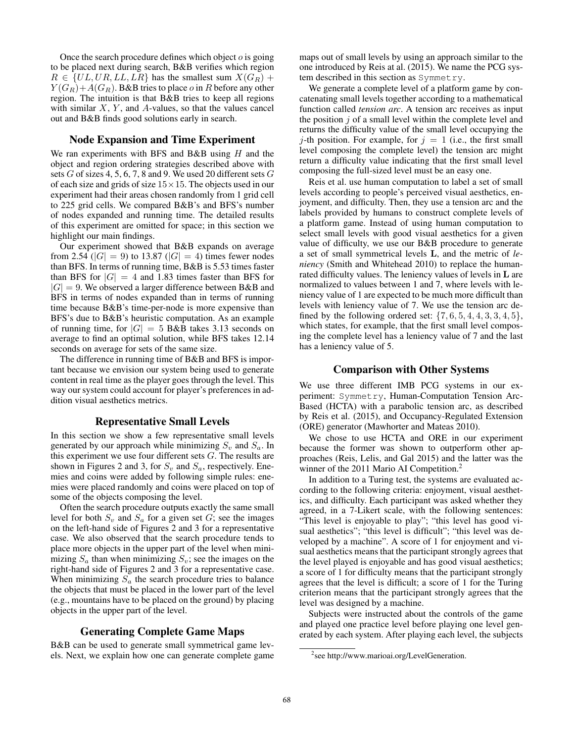Once the search procedure defines which object  $o$  is going to be placed next during search, B&B verifies which region  $R \in \{UL, UR, LL, LR\}$  has the smallest sum  $X(G_R)$  +  $Y(G_R)+A(G_R)$ . B&B tries to place o in R before any other region. The intuition is that B&B tries to keep all regions with similar  $X$ ,  $Y$ , and  $A$ -values, so that the values cancel out and B&B finds good solutions early in search.

## Node Expansion and Time Experiment

We ran experiments with BFS and B&B using  $H$  and the object and region ordering strategies described above with sets  $G$  of sizes 4, 5, 6, 7, 8 and 9. We used 20 different sets  $G$ of each size and grids of size  $15 \times 15$ . The objects used in our experiment had their areas chosen randomly from 1 grid cell to 225 grid cells. We compared B&B's and BFS's number of nodes expanded and running time. The detailed results of this experiment are omitted for space; in this section we highlight our main findings.

Our experiment showed that B&B expands on average from 2.54 ( $|G| = 9$ ) to 13.87 ( $|G| = 4$ ) times fewer nodes than BFS. In terms of running time, B&B is 5.53 times faster than BFS for  $|G| = 4$  and 1.83 times faster than BFS for  $|G| = 9$ . We observed a larger difference between B&B and BFS in terms of nodes expanded than in terms of running time because B&B's time-per-node is more expensive than BFS's due to B&B's heuristic computation. As an example of running time, for  $|G| = 5$  B&B takes 3.13 seconds on average to find an optimal solution, while BFS takes 12.14 seconds on average for sets of the same size.

The difference in running time of B&B and BFS is important because we envision our system being used to generate content in real time as the player goes through the level. This way our system could account for player's preferences in addition visual aesthetics metrics.

## Representative Small Levels

In this section we show a few representative small levels generated by our approach while minimizing  $S_n$  and  $S_n$ . In this experiment we use four different sets  $G$ . The results are shown in Figures 2 and 3, for  $S_v$  and  $S_a$ , respectively. Enemies and coins were added by following simple rules: enemies were placed randomly and coins were placed on top of some of the objects composing the level.

Often the search procedure outputs exactly the same small level for both  $S_v$  and  $S_a$  for a given set G; see the images on the left-hand side of Figures 2 and 3 for a representative case. We also observed that the search procedure tends to place more objects in the upper part of the level when minimizing  $S_a$  than when minimizing  $S_v$ ; see the images on the right-hand side of Figures 2 and 3 for a representative case. When minimizing  $S_a$  the search procedure tries to balance the objects that must be placed in the lower part of the level (e.g., mountains have to be placed on the ground) by placing objects in the upper part of the level.

# Generating Complete Game Maps

B&B can be used to generate small symmetrical game levels. Next, we explain how one can generate complete game

maps out of small levels by using an approach similar to the one introduced by Reis at al. (2015). We name the PCG system described in this section as Symmetry.

We generate a complete level of a platform game by concatenating small levels together according to a mathematical function called *tension arc*. A tension arc receives as input the position  $j$  of a small level within the complete level and returns the difficulty value of the small level occupying the j-th position. For example, for  $j = 1$  (i.e., the first small level composing the complete level) the tension arc might return a difficulty value indicating that the first small level composing the full-sized level must be an easy one.

Reis et al. use human computation to label a set of small levels according to people's perceived visual aesthetics, enjoyment, and difficulty. Then, they use a tension arc and the labels provided by humans to construct complete levels of a platform game. Instead of using human computation to select small levels with good visual aesthetics for a given value of difficulty, we use our B&B procedure to generate a set of small symmetrical levels L, and the metric of *leniency* (Smith and Whitehead 2010) to replace the humanrated difficulty values. The leniency values of levels in L are normalized to values between 1 and 7, where levels with leniency value of 1 are expected to be much more difficult than levels with leniency value of 7. We use the tension arc defined by the following ordered set:  $\{7, 6, 5, 4, 4, 3, 3, 4, 5\}$ , which states, for example, that the first small level composing the complete level has a leniency value of 7 and the last has a leniency value of 5.

## Comparison with Other Systems

We use three different IMB PCG systems in our experiment: Symmetry, Human-Computation Tension Arc-Based (HCTA) with a parabolic tension arc, as described by Reis et al. (2015), and Occupancy-Regulated Extension (ORE) generator (Mawhorter and Mateas 2010).

We chose to use HCTA and ORE in our experiment because the former was shown to outperform other approaches (Reis, Lelis, and Gal 2015) and the latter was the winner of the 2011 Mario AI Competition.<sup>2</sup>

In addition to a Turing test, the systems are evaluated according to the following criteria: enjoyment, visual aesthetics, and difficulty. Each participant was asked whether they agreed, in a 7-Likert scale, with the following sentences: "This level is enjoyable to play"; "this level has good visual aesthetics"; "this level is difficult"; "this level was developed by a machine". A score of 1 for enjoyment and visual aesthetics means that the participant strongly agrees that the level played is enjoyable and has good visual aesthetics; a score of 1 for difficulty means that the participant strongly agrees that the level is difficult; a score of 1 for the Turing criterion means that the participant strongly agrees that the level was designed by a machine.

Subjects were instructed about the controls of the game and played one practice level before playing one level generated by each system. After playing each level, the subjects

<sup>&</sup>lt;sup>2</sup>see http://www.marioai.org/LevelGeneration.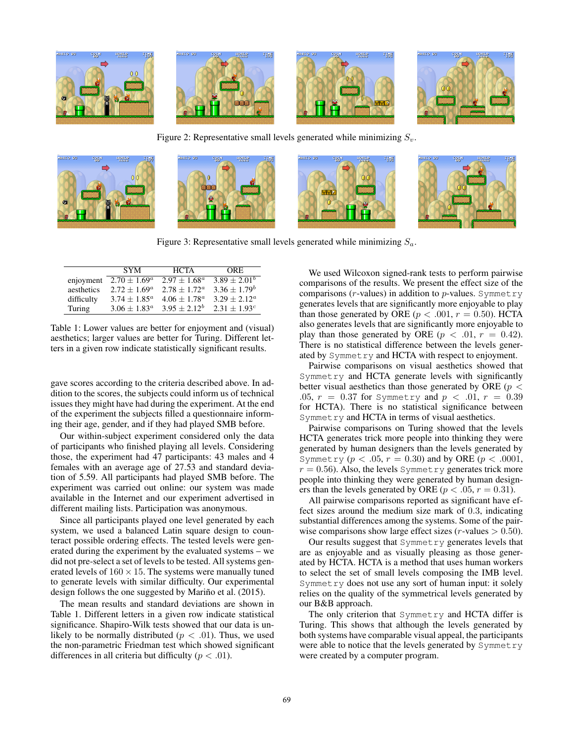

Figure 2: Representative small levels generated while minimizing  $S_v$ .



Figure 3: Representative small levels generated while minimizing  $S_a$ .

|            | <b>SYM</b>        | <b>HCTA</b>     | ORE.              |
|------------|-------------------|-----------------|-------------------|
| enjoyment  | $2.70 \pm 1.69^a$ | $2.97 + 1.68^a$ | $3.89 + 2.01^{b}$ |
| aesthetics | $2.72 + 1.69^a$   | $2.78 + 1.72^a$ | $3.36 + 1.79^b$   |
| difficulty | $3.74 + 1.85^a$   | $4.06 + 1.78^a$ | $3.29 + 2.12^a$   |
| Turing     | $3.06 + 1.83^a$   | $3.95 + 2.12^b$ | $2.31 + 1.93c$    |

Table 1: Lower values are better for enjoyment and (visual) aesthetics; larger values are better for Turing. Different letters in a given row indicate statistically significant results.

gave scores according to the criteria described above. In addition to the scores, the subjects could inform us of technical issues they might have had during the experiment. At the end of the experiment the subjects filled a questionnaire informing their age, gender, and if they had played SMB before.

Our within-subject experiment considered only the data of participants who finished playing all levels. Considering those, the experiment had 47 participants: 43 males and 4 females with an average age of 27.53 and standard deviation of 5.59. All participants had played SMB before. The experiment was carried out online: our system was made available in the Internet and our experiment advertised in different mailing lists. Participation was anonymous.

Since all participants played one level generated by each system, we used a balanced Latin square design to counteract possible ordering effects. The tested levels were generated during the experiment by the evaluated systems – we did not pre-select a set of levels to be tested. All systems generated levels of  $160 \times 15$ . The systems were manually tuned to generate levels with similar difficulty. Our experimental design follows the one suggested by Mariño et al. (2015).

The mean results and standard deviations are shown in Table 1. Different letters in a given row indicate statistical significance. Shapiro-Wilk tests showed that our data is unlikely to be normally distributed ( $p < .01$ ). Thus, we used the non-parametric Friedman test which showed significant differences in all criteria but difficulty ( $p < .01$ ).

We used Wilcoxon signed-rank tests to perform pairwise comparisons of the results. We present the effect size of the comparisons ( $r$ -values) in addition to  $p$ -values. Symmetry generates levels that are significantly more enjoyable to play than those generated by ORE ( $p < .001$ ,  $r = 0.50$ ). HCTA also generates levels that are significantly more enjoyable to play than those generated by ORE ( $p < .01$ ,  $r = 0.42$ ). There is no statistical difference between the levels generated by Symmetry and HCTA with respect to enjoyment.

Pairwise comparisons on visual aesthetics showed that Symmetry and HCTA generate levels with significantly better visual aesthetics than those generated by ORE ( $p <$ .05,  $r = 0.37$  for Symmetry and  $p < .01$ ,  $r = 0.39$ for HCTA). There is no statistical significance between Symmetry and HCTA in terms of visual aesthetics.

Pairwise comparisons on Turing showed that the levels HCTA generates trick more people into thinking they were generated by human designers than the levels generated by Symmetry  $(p < .05, r = 0.30)$  and by ORE  $(p < .0001,$  $r = 0.56$ ). Also, the levels Symmetry generates trick more people into thinking they were generated by human designers than the levels generated by ORE ( $p < .05$ ,  $r = 0.31$ ).

All pairwise comparisons reported as significant have effect sizes around the medium size mark of 0.3, indicating substantial differences among the systems. Some of the pairwise comparisons show large effect sizes (*r*-values  $> 0.50$ ).

Our results suggest that Symmetry generates levels that are as enjoyable and as visually pleasing as those generated by HCTA. HCTA is a method that uses human workers to select the set of small levels composing the IMB level. Symmetry does not use any sort of human input: it solely relies on the quality of the symmetrical levels generated by our B&B approach.

The only criterion that Symmetry and HCTA differ is Turing. This shows that although the levels generated by both systems have comparable visual appeal, the participants were able to notice that the levels generated by Symmetry were created by a computer program.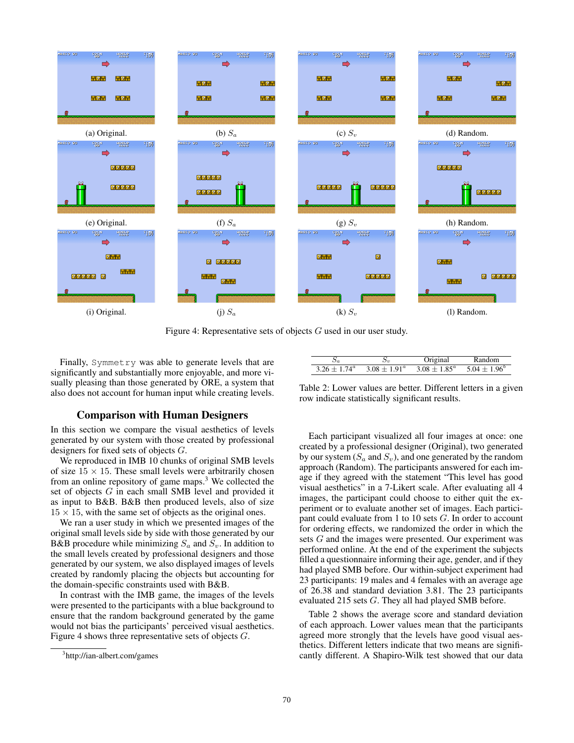

Figure 4: Representative sets of objects G used in our user study.

Finally, Symmetry was able to generate levels that are significantly and substantially more enjoyable, and more visually pleasing than those generated by ORE, a system that also does not account for human input while creating levels.

## Comparison with Human Designers

In this section we compare the visual aesthetics of levels generated by our system with those created by professional designers for fixed sets of objects G.

We reproduced in IMB 10 chunks of original SMB levels of size  $15 \times 15$ . These small levels were arbitrarily chosen from an online repository of game maps. $3$  We collected the set of objects G in each small SMB level and provided it as input to B&B. B&B then produced levels, also of size  $15 \times 15$ , with the same set of objects as the original ones.

We ran a user study in which we presented images of the original small levels side by side with those generated by our B&B procedure while minimizing  $S_a$  and  $S_v$ . In addition to the small levels created by professional designers and those generated by our system, we also displayed images of levels created by randomly placing the objects but accounting for the domain-specific constraints used with B&B.

In contrast with the IMB game, the images of the levels were presented to the participants with a blue background to ensure that the random background generated by the game would not bias the participants' perceived visual aesthetics. Figure 4 shows three representative sets of objects G.

|                                                                                                 | Jriginal | Random |
|-------------------------------------------------------------------------------------------------|----------|--------|
| $3.26 \pm 1.74^{\circ}$ $3.08 \pm 1.91^{\circ}$ $3.08 \pm 1.85^{\circ}$ $5.04 \pm 1.96^{\circ}$ |          |        |

Table 2: Lower values are better. Different letters in a given row indicate statistically significant results.

Each participant visualized all four images at once: one created by a professional designer (Original), two generated by our system  $(S_a \text{ and } S_v)$ , and one generated by the random approach (Random). The participants answered for each image if they agreed with the statement "This level has good visual aesthetics" in a 7-Likert scale. After evaluating all 4 images, the participant could choose to either quit the experiment or to evaluate another set of images. Each participant could evaluate from 1 to 10 sets G. In order to account for ordering effects, we randomized the order in which the sets G and the images were presented. Our experiment was performed online. At the end of the experiment the subjects filled a questionnaire informing their age, gender, and if they had played SMB before. Our within-subject experiment had 23 participants: 19 males and 4 females with an average age of 26.38 and standard deviation 3.81. The 23 participants evaluated 215 sets G. They all had played SMB before.

Table 2 shows the average score and standard deviation of each approach. Lower values mean that the participants agreed more strongly that the levels have good visual aesthetics. Different letters indicate that two means are significantly different. A Shapiro-Wilk test showed that our data

<sup>3</sup> http://ian-albert.com/games